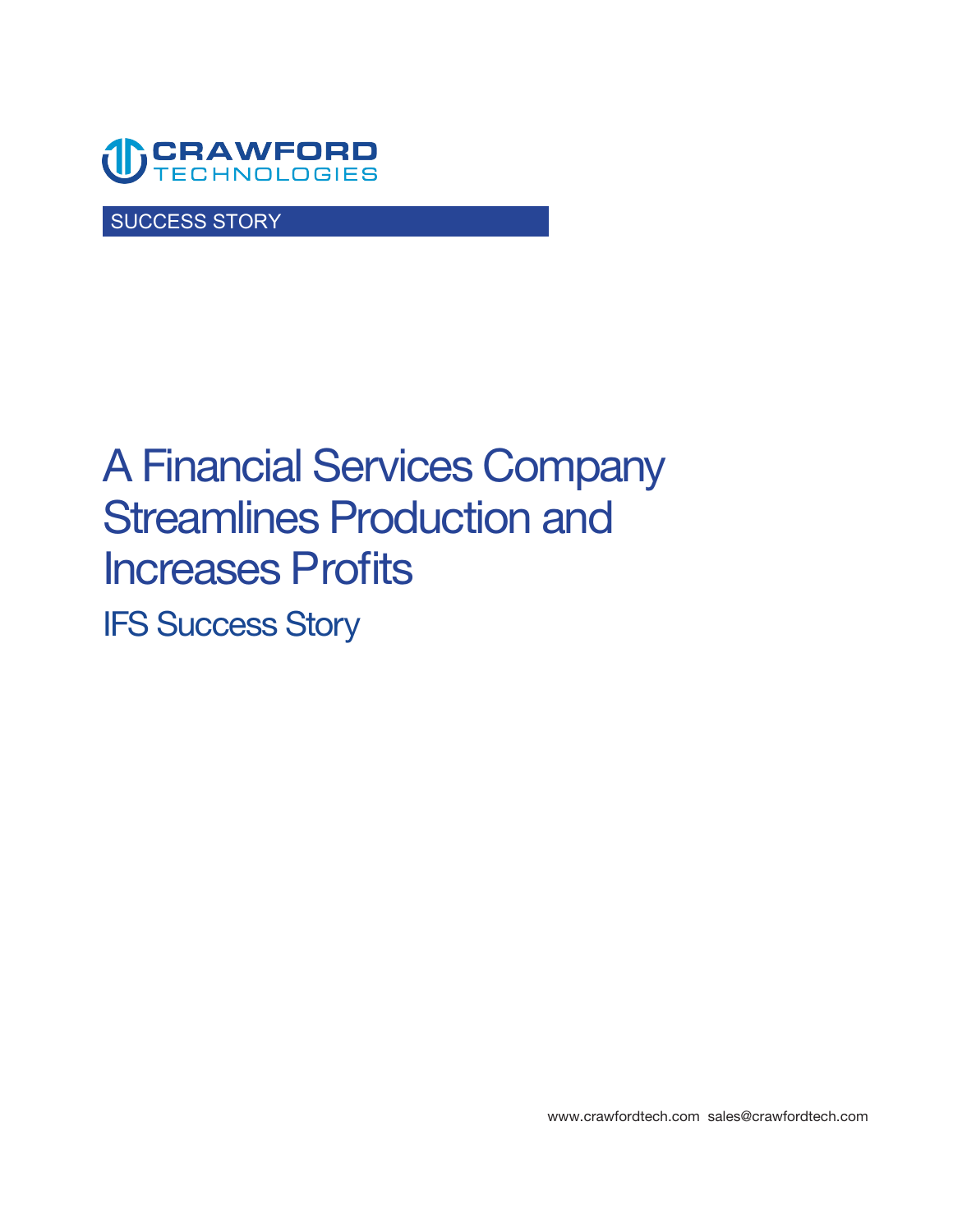

SUCCESS STORY

# **A Financial Services Company Streamlines Production and Increases Profits IFS Success Story**

**<www.crawfordtech.com>[sales@crawfordtech.com](mailto:sales@crawfordtech.com)**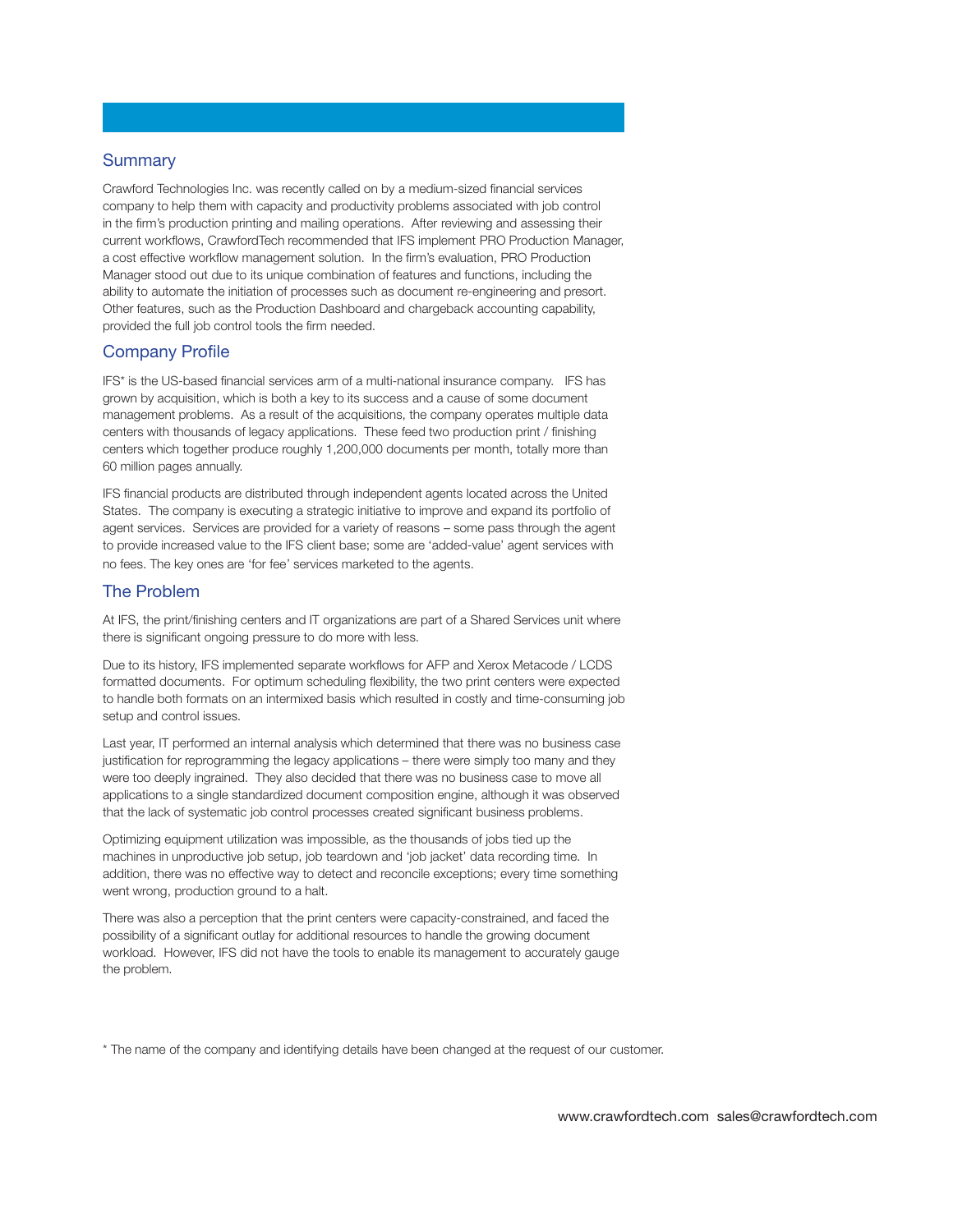# **Summary**

**Crawford Technologies Inc. was recently called on by a medium-sized financial services company to help them with capacity and productivity problems associated with job control in the firm's production printing and mailing operations. After reviewing and assessing their current workflows, CrawfordTech recommended that IFS implement PRO Production Manager, a cost effective workflow management solution. In the firm's evaluation, PRO Production Manager stood out due to its unique combination of features and functions, including the ability to automate the initiation of processes such as document re-engineering and presort. Other features, such as the Production Dashboard and chargeback accounting capability, provided the full job control tools the firm needed.** 

## **Company Profile**

**IFS\* is the US-based financial services arm of a multi-national insurance company. IFS has grown by acquisition, which is both a key to its success and a cause of some document management problems. As a result of the acquisitions, the company operates multiple data centers with thousands of legacy applications. These feed two production print / finishing centers which together produce roughly 1,200,000 documents per month, totally more than 60 million pages annually.** 

**IFS financial products are distributed through independent agents located across the United States. The company is executing a strategic initiative to improve and expand its portfolio of agent services. Services are provided for a variety of reasons – some pass through the agent to provide increased value to the IFS client base; some are 'added-value' agent services with no fees. The key ones are 'for fee' services marketed to the agents.** 

#### **The Problem**

**At IFS, the print/finishing centers and IT organizations are part of a Shared Services unit where there is significant ongoing pressure to do more with less.** 

**Due to its history, IFS implemented separate workflows for AFP and Xerox Metacode / LCDS formatted documents. For optimum scheduling flexibility, the two print centers were expected to handle both formats on an intermixed basis which resulted in costly and time-consuming job setup and control issues.** 

**Last year, IT performed an internal analysis which determined that there was no business case justification for reprogramming the legacy applications – there were simply too many and they were too deeply ingrained. They also decided that there was no business case to move all applications to a single standardized document composition engine, although it was observed that the lack of systematic job control processes created significant business problems.** 

**Optimizing equipment utilization was impossible, as the thousands of jobs tied up the machines in unproductive job setup, job teardown and 'job jacket' data recording time. In addition, there was no effective way to detect and reconcile exceptions; every time something went wrong, production ground to a halt.** 

**There was also a perception that the print centers were capacity-constrained, and faced the possibility of a significant outlay for additional resources to handle the growing document workload. However, IFS did not have the tools to enable its management to accurately gauge the problem.** 

**\* The name of the company and identifying details have been changed at the request of our customer.**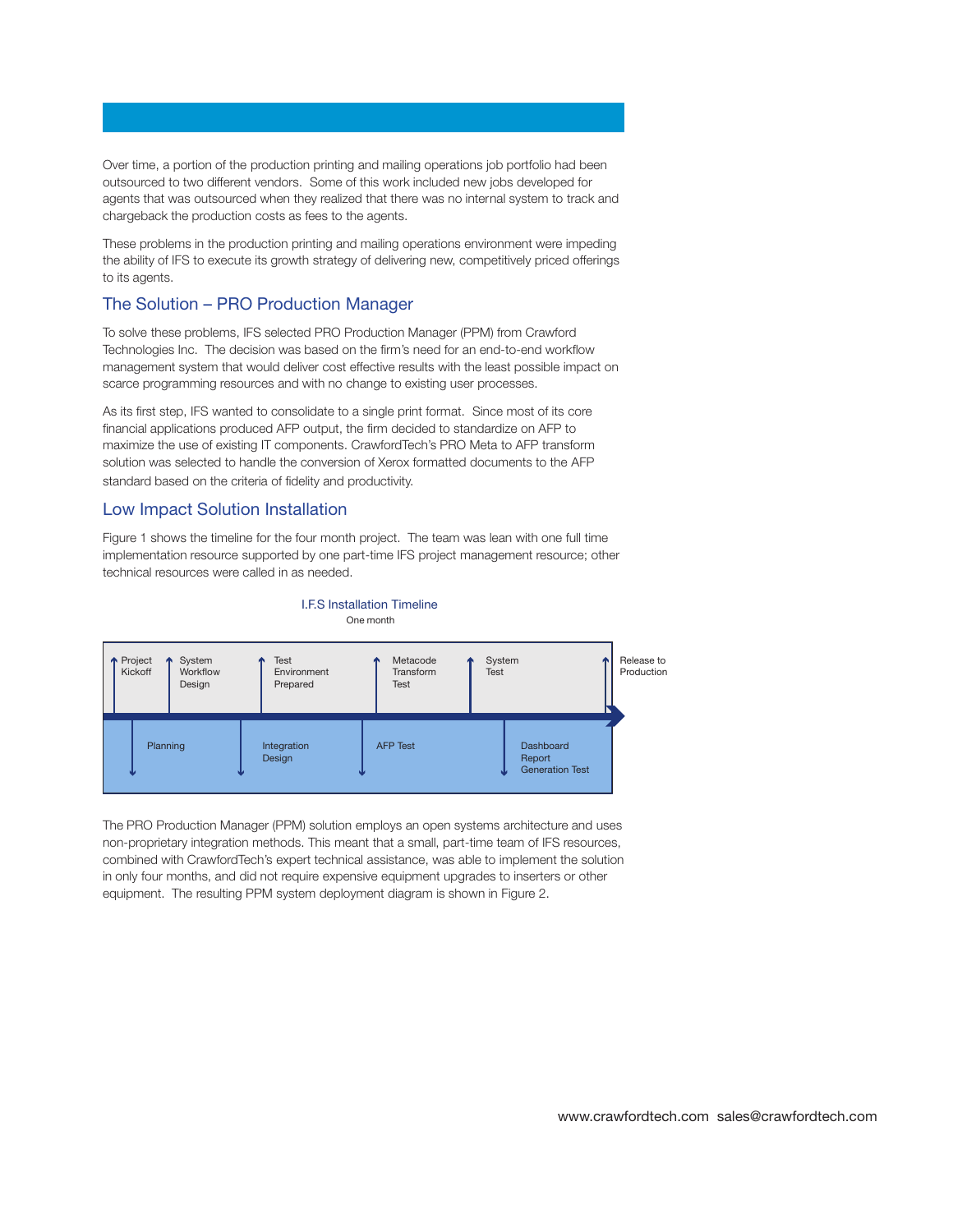**Over time, a portion of the production printing and mailing operations job portfolio had been outsourced to two different vendors. Some of this work included new jobs developed for agents that was outsourced when they realized that there was no internal system to track and chargeback the production costs as fees to the agents.** 

**These problems in the production printing and mailing operations environment were impeding the ability of IFS to execute its growth strategy of delivering new, competitively priced offerings to its agents.** 

# **The Solution – PRO Production Manager**

**To solve these problems, IFS selected PRO Production Manager (PPM) from Crawford Technologies Inc. The decision was based on the firm's need for an end-to-end workflow management system that would deliver cost effective results with the least possible impact on scarce programming resources and with no change to existing user processes.** 

**As its first step, IFS wanted to consolidate to a single print format. Since most of its core financial applications produced AFP output, the firm decided to standardize on AFP to maximize the use of existing IT components. CrawfordTech's PRO Meta to AFP transform solution was selected to handle the conversion of Xerox formatted documents to the AFP standard based on the criteria of fidelity and productivity.** 

#### **Low Impact Solution Installation**

**Figure 1 shows the timeline for the four month project. The team was lean with one full time implementation resource supported by one part-time IFS project management resource; other technical resources were called in as needed.** 

**I.F.S Installation Timeline**



**The PRO Production Manager (PPM) solution employs an open systems architecture and uses non-proprietary integration methods. This meant that a small, part-time team of IFS resources, combined with CrawfordTech's expert technical assistance, was able to implement the solution in only four months, and did not require expensive equipment upgrades to inserters or other equipment. The resulting PPM system deployment diagram is shown in Figure 2.**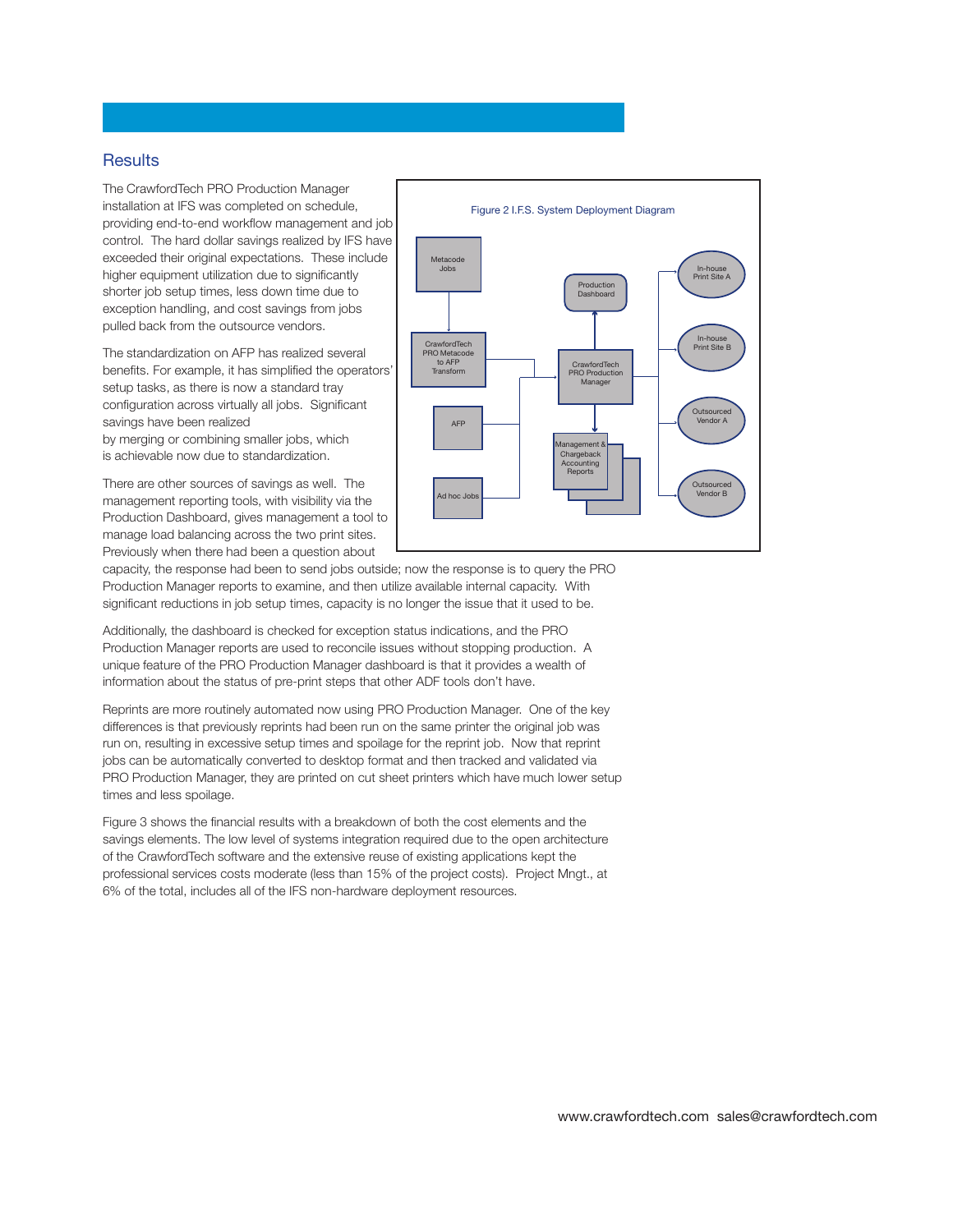#### **Results**

**The CrawfordTech PRO Production Manager installation at IFS was completed on schedule, providing end-to-end workflow management and job control. The hard dollar savings realized by IFS have exceeded their original expectations. These include higher equipment utilization due to significantly shorter job setup times, less down time due to exception handling, and cost savings from jobs pulled back from the outsource vendors.** 

**The standardization on AFP has realized several benefits. For example, it has simplified the operators' setup tasks, as there is now a standard tray configuration across virtually all jobs. Significant savings have been realized by merging or combining smaller jobs, which is achievable now due to standardization.** 

**There are other sources of savings as well. The management reporting tools, with visibility via the Production Dashboard, gives management a tool to manage load balancing across the two print sites. Previously when there had been a question about** 



**capacity, the response had been to send jobs outside; now the response is to query the PRO Production Manager reports to examine, and then utilize available internal capacity. With significant reductions in job setup times, capacity is no longer the issue that it used to be.** 

**Additionally, the dashboard is checked for exception status indications, and the PRO Production Manager reports are used to reconcile issues without stopping production. A unique feature of the PRO Production Manager dashboard is that it provides a wealth of information about the status of pre-print steps that other ADF tools don't have.** 

**Reprints are more routinely automated now using PRO Production Manager. One of the key differences is that previously reprints had been run on the same printer the original job was run on, resulting in excessive setup times and spoilage for the reprint job. Now that reprint jobs can be automatically converted to desktop format and then tracked and validated via PRO Production Manager, they are printed on cut sheet printers which have much lower setup times and less spoilage.** 

**Figure 3 shows the financial results with a breakdown of both the cost elements and the savings elements. The low level of systems integration required due to the open architecture of the CrawfordTech software and the extensive reuse of existing applications kept the professional services costs moderate (less than 15% of the project costs). Project Mngt., at 6% of the total, includes all of the IFS non-hardware deployment resources.** 

**www.crawfordtech.com sales@crawfordtech.com**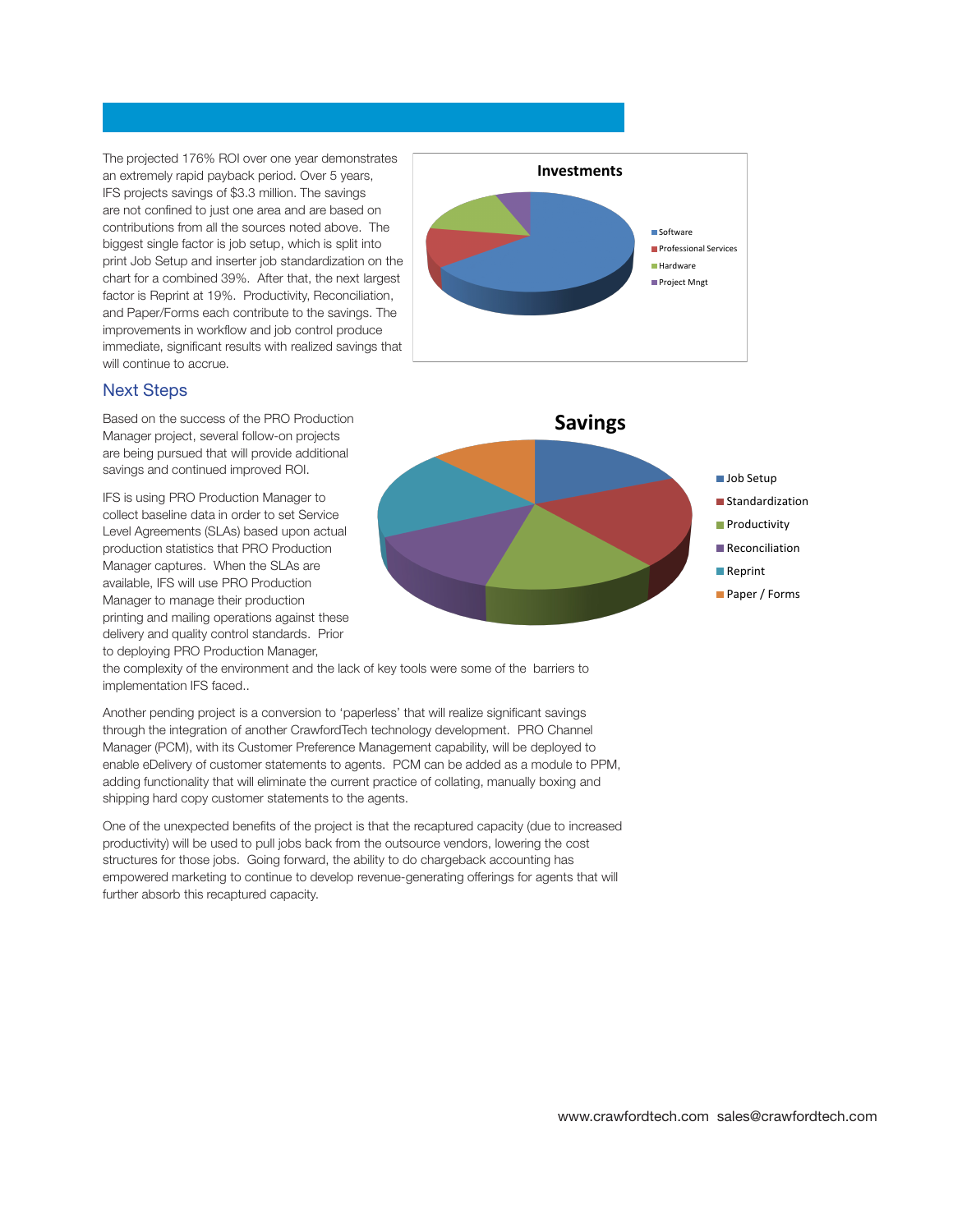**The projected 176% ROI over one year demonstrates an extremely rapid payback period. Over 5 years, IFS projects savings of \$3.3 million. The savings are not confined to just one area and are based on contributions from all the sources noted above. The biggest single factor is job setup, which is split into print Job Setup and inserter job standardization on the chart for a combined 39%. After that, the next largest factor is Reprint at 19%. Productivity, Reconciliation, and Paper/Forms each contribute to the savings. The improvements in workflow and job control produce immediate, significant results with realized savings that will continue to accrue.** 



# **Next Steps**

**Based on the success of the PRO Production Manager project, several follow-on projects are being pursued that will provide additional savings and continued improved ROI.** 

**IFS is using PRO Production Manager to collect baseline data in order to set Service Level Agreements (SLAs) based upon actual production statistics that PRO Production Manager captures. When the SLAs are available, IFS will use PRO Production Manager to manage their production printing and mailing operations against these delivery and quality control standards. Prior to deploying PRO Production Manager,** 



**the complexity of the environment and the lack of key tools were some of the barriers to implementation IFS faced..** 

**Another pending project is a conversion to 'paperless' that will realize significant savings through the integration of another CrawfordTech technology development. PRO Channel Manager (PCM), with its Customer Preference Management capability, will be deployed to enable eDelivery of customer statements to agents. PCM can be added as a module to PPM, adding functionality that will eliminate the current practice of collating, manually boxing and shipping hard copy customer statements to the agents.** 

**One of the unexpected benefits of the project is that the recaptured capacity (due to increased productivity) will be used to pull jobs back from the outsource vendors, lowering the cost structures for those jobs. Going forward, the ability to do chargeback accounting has empowered marketing to continue to develop revenue-generating offerings for agents that will further absorb this recaptured capacity.**